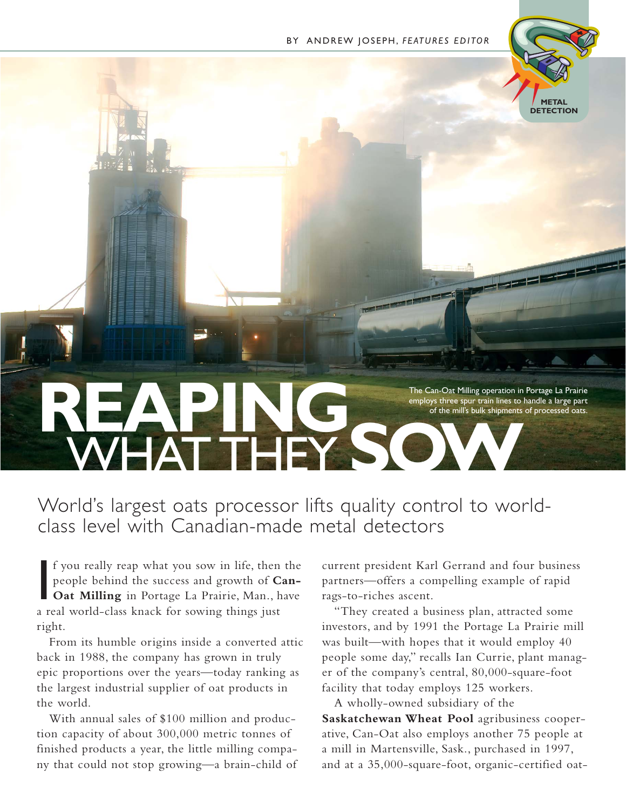

The Can-Oat Milling operation in Portage La Prairie<br>
of the mill's bulk shipments of processed oats.<br>
The Can-Oat Milling operation in Portage La Prairie<br>
of the mill's bulk shipments of processed oats. employs three spur train lines to handle a large part of the mill's bulk shipments of processed oats. WHAT THEY **SOW**

### World's largest oats processor lifts quality control to worldclass level with Canadian-made metal detectors

 $\blacksquare$ f you really reap what you sow in life, then the people behind the success and growth of **Can-Oat Milling** in Portage La Prairie, Man., have a real world-class knack for sowing things just right.

From its humble origins inside a converted attic back in 1988, the company has grown in truly epic proportions over the years—today ranking as the largest industrial supplier of oat products in the world.

With annual sales of \$100 million and production capacity of about 300,000 metric tonnes of finished products a year, the little milling company that could not stop growing—a brain-child of current president Karl Gerrand and four business partners—offers a compelling example of rapid rags-to-riches ascent.

"They created a business plan, attracted some investors, and by 1991 the Portage La Prairie mill was built—with hopes that it would employ 40 people some day," recalls Ian Currie, plant manager of the company's central, 80,000-square-foot facility that today employs 125 workers.

A wholly-owned subsidiary of the **Saskatchewan Wheat Pool** agribusiness cooperative, Can-Oat also employs another 75 people at a mill in Martensville, Sask., purchased in 1997, and at a 35,000-square-foot, organic-certified oat-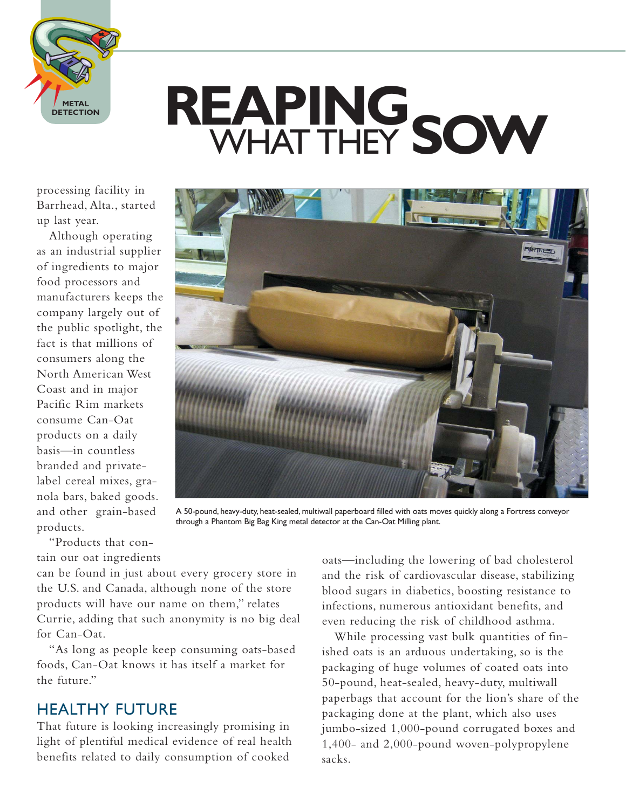

## **REAPING** WHAT THEY **SOW**

processing facility in Barrhead, Alta., started up last year.

Although operating as an industrial supplier of ingredients to major food processors and manufacturers keeps the company largely out of the public spotlight, the fact is that millions of consumers along the North American West Coast and in major Pacific Rim markets consume Can-Oat products on a daily basis—in countless branded and privatelabel cereal mixes, granola bars, baked goods. and other grain-based products.



A 50-pound, heavy-duty, heat-sealed, multiwall paperboard filled with oats moves quickly along a Fortress conveyor through a Phantom Big Bag King metal detector at the Can-Oat Milling plant.

"Products that contain our oat ingredients

can be found in just about every grocery store in the U.S. and Canada, although none of the store products will have our name on them," relates Currie, adding that such anonymity is no big deal for Can-Oat.

"As long as people keep consuming oats-based foods, Can-Oat knows it has itself a market for the future."

#### HEALTHY FUTURE

That future is looking increasingly promising in light of plentiful medical evidence of real health benefits related to daily consumption of cooked

oats—including the lowering of bad cholesterol and the risk of cardiovascular disease, stabilizing blood sugars in diabetics, boosting resistance to infections, numerous antioxidant benefits, and even reducing the risk of childhood asthma.

While processing vast bulk quantities of finished oats is an arduous undertaking, so is the packaging of huge volumes of coated oats into 50-pound, heat-sealed, heavy-duty, multiwall paperbags that account for the lion's share of the packaging done at the plant, which also uses jumbo-sized 1,000-pound corrugated boxes and 1,400- and 2,000-pound woven-polypropylene sacks.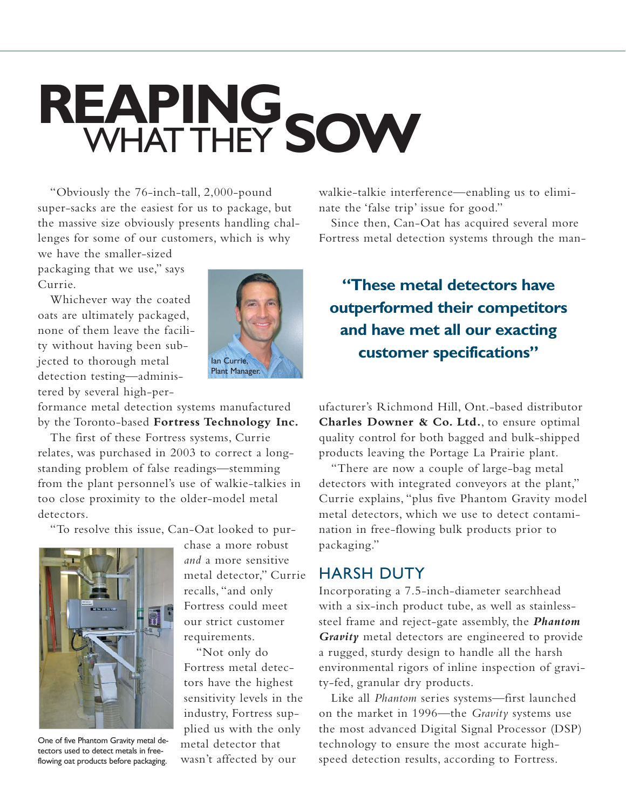## **REAPING** WHAT THEY **SOW**

"Obviously the 76-inch-tall, 2,000-pound super-sacks are the easiest for us to package, but the massive size obviously presents handling challenges for some of our customers, which is why

we have the smaller-sized packaging that we use," says Currie.

Whichever way the coated oats are ultimately packaged, none of them leave the facility without having been subjected to thorough metal detection testing—administered by several high-per-



formance metal detection systems manufactured by the Toronto-based **Fortress Technology Inc.**

The first of these Fortress systems, Currie relates, was purchased in 2003 to correct a longstanding problem of false readings—stemming from the plant personnel's use of walkie-talkies in too close proximity to the older-model metal detectors.

"To resolve this issue, Can-Oat looked to pur-



One of five Phantom Gravity metal detectors used to detect metals in freeflowing oat products before packaging.

chase a more robust *and* a more sensitive metal detector," Currie recalls, "and only Fortress could meet our strict customer requirements.

"Not only do Fortress metal detectors have the highest sensitivity levels in the industry, Fortress supplied us with the only metal detector that wasn't affected by our

walkie-talkie interference—enabling us to eliminate the 'false trip' issue for good."

Since then, Can-Oat has acquired several more Fortress metal detection systems through the man-

**"These metal detectors have outperformed their competitors and have met all our exacting customer specifications"**

ufacturer's Richmond Hill, Ont.-based distributor **Charles Downer & Co. Ltd.**, to ensure optimal quality control for both bagged and bulk-shipped products leaving the Portage La Prairie plant.

"There are now a couple of large-bag metal detectors with integrated conveyors at the plant," Currie explains, "plus five Phantom Gravity model metal detectors, which we use to detect contamination in free-flowing bulk products prior to packaging."

#### HARSH DUTY

Incorporating a 7.5-inch-diameter searchhead with a six-inch product tube, as well as stainlesssteel frame and reject-gate assembly, the *Phantom Gravity* metal detectors are engineered to provide a rugged, sturdy design to handle all the harsh environmental rigors of inline inspection of gravity-fed, granular dry products.

Like all *Phantom* series systems—first launched on the market in 1996—the *Gravity* systems use the most advanced Digital Signal Processor (DSP) technology to ensure the most accurate highspeed detection results, according to Fortress.